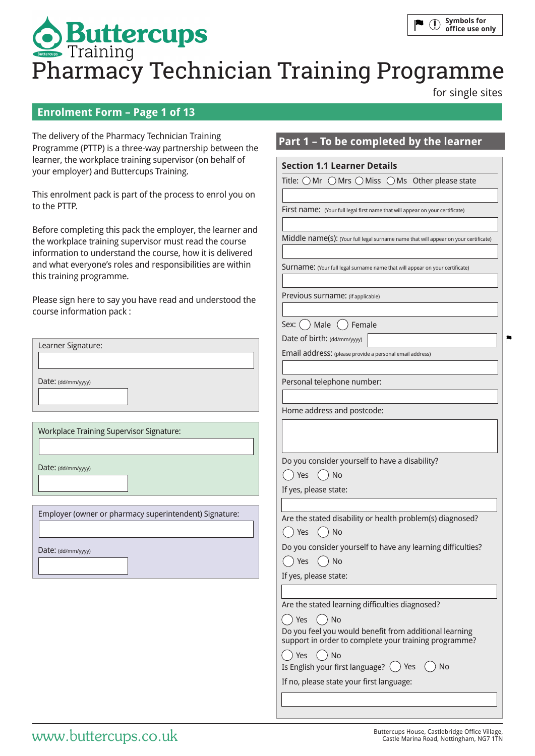# **Symbols for**   $\bigcap$ **Buttercups**<br>Pharmacy Technician Training Programme **office use only**

**Section 1.1 Learner Details**

Title:  $\bigcirc$  Mr  $\bigcirc$  Mrs  $\bigcirc$  Miss  $\bigcirc$  Ms Other please state

**Part 1 – To be completed by the learner**

First name: (Your full legal first name that will appear on your certificate)

Surname: (Your full legal surname name that will appear on your certificate)

Middle name(s): (Your full legal surname name that will appear on your certificate)

for single sites

P

# **Enrolment Form – Page 1 of 13**

The delivery of the Pharmacy Technician Training Programme (PTTP) is a three-way partnership between the learner, the workplace training supervisor (on behalf of your employer) and Buttercups Training.

This enrolment pack is part of the process to enrol you on to the PTTP.

Before completing this pack the employer, the learner and the workplace training supervisor must read the course information to understand the course, how it is delivered and what everyone's roles and responsibilities are within this training programme.

| Please sign here to say you have read and understood the | Previous surname: (if applicable)                                                                               |  |
|----------------------------------------------------------|-----------------------------------------------------------------------------------------------------------------|--|
| course information pack:                                 | Male<br>Female<br>Sex: (                                                                                        |  |
|                                                          | Date of birth: (dd/mm/yyyy)                                                                                     |  |
| Learner Signature:                                       | Email address: (please provide a personal email address)                                                        |  |
|                                                          |                                                                                                                 |  |
| Date: (dd/mm/yyy)                                        | Personal telephone number:                                                                                      |  |
|                                                          | Home address and postcode:                                                                                      |  |
| <b>Workplace Training Supervisor Signature:</b>          |                                                                                                                 |  |
|                                                          |                                                                                                                 |  |
| Date: (dd/mm/yyyy)                                       | Do you consider yourself to have a disability?                                                                  |  |
|                                                          | Yes<br>$()$ No<br>$($ )                                                                                         |  |
|                                                          | If yes, please state:                                                                                           |  |
|                                                          |                                                                                                                 |  |
| Employer (owner or pharmacy superintendent) Signature:   | Are the stated disability or health problem(s) diagnosed?                                                       |  |
|                                                          | Yes<br><b>No</b><br>$\overline{\phantom{a}}$                                                                    |  |
| Date: (dd/mm/yyyy)                                       | Do you consider yourself to have any learning difficulties?                                                     |  |
|                                                          | () Yes ()<br>No                                                                                                 |  |
|                                                          | If yes, please state:                                                                                           |  |
|                                                          |                                                                                                                 |  |
|                                                          | Are the stated learning difficulties diagnosed?                                                                 |  |
|                                                          | Yes<br>No<br>$\rightarrow$                                                                                      |  |
|                                                          | Do you feel you would benefit from additional learning<br>support in order to complete your training programme? |  |
|                                                          | () Yes () No                                                                                                    |  |
|                                                          | Is English your first language? $\binom{ }{ }$<br>Yes<br>No                                                     |  |
|                                                          | If no, please state your first language:                                                                        |  |
|                                                          |                                                                                                                 |  |
|                                                          |                                                                                                                 |  |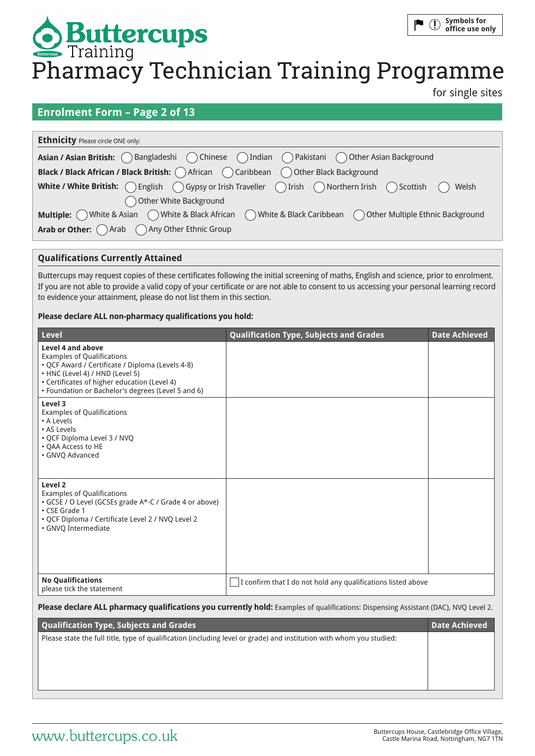# **Symbols for**   $\mathbb{O}$ **Buttercups**<br>Pharmacy Technician Training Programme **office use only**

for single sites

### **Enrolment Form – Page 2 of 13**

| <b>Ethnicity Please circle ONE only:</b>                                                                                                                          |  |  |
|-------------------------------------------------------------------------------------------------------------------------------------------------------------------|--|--|
| Asian / Asian British: ( ) Bangladeshi ( ) Chinese ( ) Indian ( ) Pakistani ( ) Other Asian Background                                                            |  |  |
| <b>Black / Black African / Black British:</b> $\bigcap$ African $\bigcap$ Caribbean $\bigcap$ Other Black Background                                              |  |  |
| <b>White / White British:</b> $\bigcap$ English $\bigcap$ Gypsy or Irish Traveller $\bigcap$ Irish $\bigcap$ Northern Irish $\bigcap$ Scottish $\bigcap$<br>Welsh |  |  |
| Other White Background                                                                                                                                            |  |  |
| <b>Multiple:</b> $\bigcap$ White & Asian $\bigcap$ White & Black African $\bigcap$ White & Black Caribbean $\bigcap$ Other Multiple Ethnic Background             |  |  |
| Arab or Other: Arab Any Other Ethnic Group                                                                                                                        |  |  |

### **Qualifications Currently Attained**

Buttercups may request copies of these certificates following the initial screening of maths, English and science, prior to enrolment. If you are not able to provide a valid copy of your certificate or are not able to consent to us accessing your personal learning record to evidence your attainment, please do not list them in this section.

### **Please declare ALL non-pharmacy qualifications you hold:**

| <b>Level</b>                                                                                                                                                                                                                                        | <b>Qualification Type, Subjects and Grades</b>               | <b>Date Achieved</b> |
|-----------------------------------------------------------------------------------------------------------------------------------------------------------------------------------------------------------------------------------------------------|--------------------------------------------------------------|----------------------|
| Level 4 and above<br><b>Examples of Qualifications</b><br>• QCF Award / Certificate / Diploma (Levels 4-8)<br>• HNC (Level 4) / HND (Level 5)<br>• Certificates of higher education (Level 4)<br>• Foundation or Bachelor's degrees (Level 5 and 6) |                                                              |                      |
| Level 3<br><b>Examples of Qualifications</b><br>• A Levels<br>• AS Levels<br>• QCF Diploma Level 3 / NVQ<br>• QAA Access to HE<br>· GNVO Advanced                                                                                                   |                                                              |                      |
| Level 2<br><b>Examples of Qualifications</b><br>• GCSE / O Level (GCSEs grade A*-C / Grade 4 or above)<br>• CSE Grade 1<br>· QCF Diploma / Certificate Level 2 / NVQ Level 2<br>• GNVQ Intermediate                                                 |                                                              |                      |
| <b>No Qualifications</b><br>please tick the statement                                                                                                                                                                                               | I confirm that I do not hold any qualifications listed above |                      |

### Please declare ALL pharmacy qualifications you currently hold: Examples of qualifications: Dispensing Assistant (DAC), NVO Level 2.

| <b>Date Achieved</b> |
|----------------------|
|                      |
|                      |
|                      |
|                      |
|                      |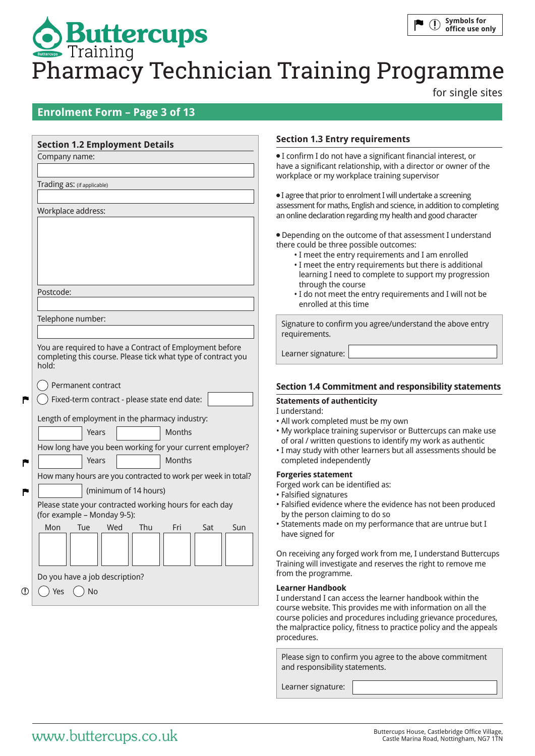# **Symbols for**   $\mathbb{O}$ **Buttercups**<br>Pharmacy Technician Training Programme **office use only**

for single sites

## **Enrolment Form – Page 3 of 13**

| <b>Section 1.2 Employment Details</b>                                                                                              | <b>Section 1.3 Entry requirements</b>                                                                                                                                                                                                                                                                                                                                                     |
|------------------------------------------------------------------------------------------------------------------------------------|-------------------------------------------------------------------------------------------------------------------------------------------------------------------------------------------------------------------------------------------------------------------------------------------------------------------------------------------------------------------------------------------|
| Company name:                                                                                                                      | · I confirm I do not have a significant financial interest, or<br>have a significant relationship, with a director or owner of the<br>workplace or my workplace training supervisor                                                                                                                                                                                                       |
| Trading as: (if applicable)                                                                                                        |                                                                                                                                                                                                                                                                                                                                                                                           |
| Workplace address:                                                                                                                 | • I agree that prior to enrolment I will undertake a screening<br>assessment for maths, English and science, in addition to completing<br>an online declaration regarding my health and good character                                                                                                                                                                                    |
| Postcode:                                                                                                                          | • Depending on the outcome of that assessment I understand<br>there could be three possible outcomes:<br>• I meet the entry requirements and I am enrolled<br>• I meet the entry requirements but there is additional<br>learning I need to complete to support my progression<br>through the course<br>. I do not meet the entry requirements and I will not be<br>enrolled at this time |
| Telephone number:                                                                                                                  | Signature to confirm you agree/understand the above entry                                                                                                                                                                                                                                                                                                                                 |
|                                                                                                                                    | requirements.                                                                                                                                                                                                                                                                                                                                                                             |
| You are required to have a Contract of Employment before<br>completing this course. Please tick what type of contract you<br>hold: | Learner signature:                                                                                                                                                                                                                                                                                                                                                                        |
| Permanent contract                                                                                                                 | <b>Section 1.4 Commitment and responsibility statements</b>                                                                                                                                                                                                                                                                                                                               |
| Fixed-term contract - please state end date:                                                                                       | <b>Statements of authenticity</b>                                                                                                                                                                                                                                                                                                                                                         |
| Length of employment in the pharmacy industry:                                                                                     | I understand:                                                                                                                                                                                                                                                                                                                                                                             |
| <b>Months</b><br>Years                                                                                                             | • All work completed must be my own<br>. My workplace training supervisor or Buttercups can make use                                                                                                                                                                                                                                                                                      |
| How long have you been working for your current employer?                                                                          | of oral / written questions to identify my work as authentic                                                                                                                                                                                                                                                                                                                              |
| Months<br>Years                                                                                                                    | . I may study with other learners but all assessments should be<br>completed independently                                                                                                                                                                                                                                                                                                |
| How many hours are you contracted to work per week in total?                                                                       | <b>Forgeries statement</b>                                                                                                                                                                                                                                                                                                                                                                |
| (minimum of 14 hours)                                                                                                              | Forged work can be identified as:                                                                                                                                                                                                                                                                                                                                                         |
| Please state your contracted working hours for each day<br>(for example - Monday 9-5):                                             | • Falsified signatures<br>· Falsified evidence where the evidence has not been produced<br>by the person claiming to do so                                                                                                                                                                                                                                                                |
| Mon<br>Wed<br><b>Thu</b><br>Tue<br>Fri<br>Sat<br>Sun                                                                               | • Statements made on my performance that are untrue but I<br>have signed for                                                                                                                                                                                                                                                                                                              |
| Do you have a job description?                                                                                                     | On receiving any forged work from me, I understand Buttercups<br>Training will investigate and reserves the right to remove me<br>from the programme.                                                                                                                                                                                                                                     |
| $($ )                                                                                                                              | <b>Learner Handbook</b>                                                                                                                                                                                                                                                                                                                                                                   |
| Yes<br><b>No</b>                                                                                                                   | I understand I can access the learner handbook within the                                                                                                                                                                                                                                                                                                                                 |

procedures.

and responsibility statements.

Learner signature:

course website. This provides me with information on all the course policies and procedures including grievance procedures, the malpractice policy, fitness to practice policy and the appeals

Please sign to confirm you agree to the above commitment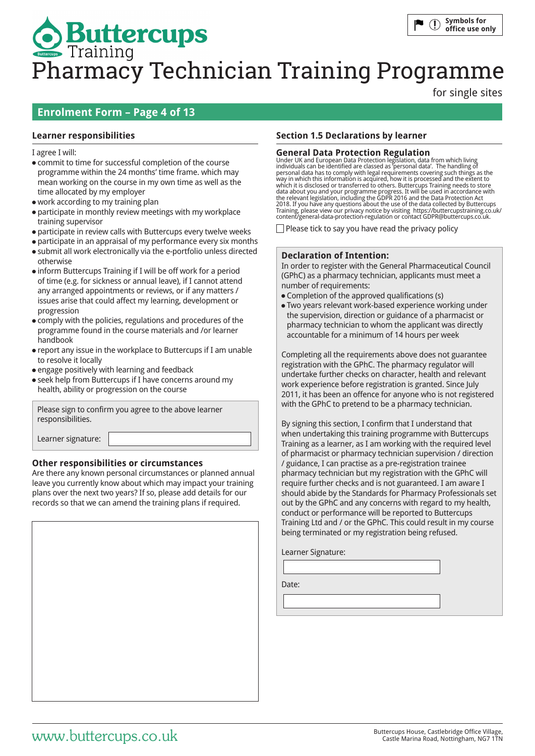for single sites

# **Enrolment Form – Page 4 of 13**

### I agree I will:

- commit to time for successful completion of the course programme within the 24 months' time frame. which may mean working on the course in my own time as well as the time allocated by my employer
- work according to my training plan
- participate in monthly review meetings with my workplace training supervisor
- participate in review calls with Buttercups every twelve weeks
- participate in an appraisal of my performance every six months
- submit all work electronically via the e-portfolio unless directed otherwise
- inform Buttercups Training if I will be off work for a period of time (e.g. for sickness or annual leave), if I cannot attend any arranged appointments or reviews, or if any matters / issues arise that could affect my learning, development or progression
- comply with the policies, regulations and procedures of the programme found in the course materials and /or learner handbook
- report any issue in the workplace to Buttercups if I am unable to resolve it locally
- engage positively with learning and feedback
- seek help from Buttercups if I have concerns around my health, ability or progression on the course

Please sign to confirm you agree to the above learner responsibilities.

Learner signature:

### **Other responsibilities or circumstances**

Are there any known personal circumstances or planned annual leave you currently know about which may impact your training plans over the next two years? If so, please add details for our records so that we can amend the training plans if required.

### **Learner responsibilities Section 1.5 Declarations by learner**

**General Data Protection Regulation** Under UK and European Data Protection legislation, data from which living individuals can be identified are classed as 'personal data'. The handling of personal data has to comply with legal requirements covering such things as the way in which this information is acquired, how it is processed and the extent to which it is disclosed or transferred to others. Buttercups Training needs to store<br>data about you and your programme progress. It will be used in accordance with<br>the relevant legislation, including the GDPR 2016 and the Da Training, please view our privacy notice by visiting https://buttercupstraining.co.uk/ content/general-data-protection-regulation or contact GDPR@buttercups.co.uk.

 $\Box$  Please tick to say you have read the privacy policy

### **Declaration of Intention:**

In order to register with the General Pharmaceutical Council (GPhC) as a pharmacy technician, applicants must meet a number of requirements:

- Completion of the approved qualifications (s)
- Two years relevant work-based experience working under the supervision, direction or guidance of a pharmacist or pharmacy technician to whom the applicant was directly accountable for a minimum of 14 hours per week

Completing all the requirements above does not guarantee registration with the GPhC. The pharmacy regulator will undertake further checks on character, health and relevant work experience before registration is granted. Since July 2011, it has been an offence for anyone who is not registered with the GPhC to pretend to be a pharmacy technician.

By signing this section, I confirm that I understand that when undertaking this training programme with Buttercups Training as a learner, as I am working with the required level of pharmacist or pharmacy technician supervision / direction / guidance, I can practise as a pre-registration trainee pharmacy technician but my registration with the GPhC will require further checks and is not guaranteed. I am aware I should abide by the Standards for Pharmacy Professionals set out by the GPhC and any concerns with regard to my health, conduct or performance will be reported to Buttercups Training Ltd and / or the GPhC. This could result in my course being terminated or my registration being refused.

Learner Signature:

Date: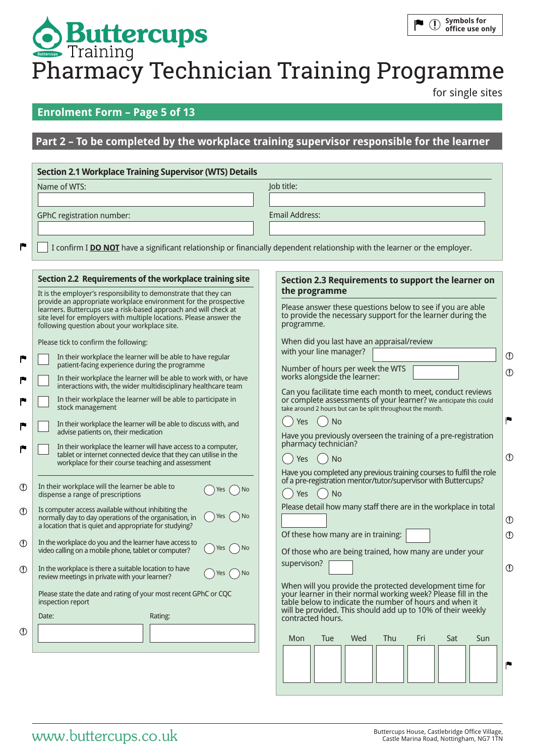for single sites

# **Enrolment Form – Page 5 of 13**

# **Part 2 – To be completed by the workplace training supervisor responsible for the learner**

|       | Name of WTS:                                                                                                                                                                                                                                                 | Job title:                                                                                                                                                                                     |
|-------|--------------------------------------------------------------------------------------------------------------------------------------------------------------------------------------------------------------------------------------------------------------|------------------------------------------------------------------------------------------------------------------------------------------------------------------------------------------------|
|       | GPhC registration number:                                                                                                                                                                                                                                    | <b>Email Address:</b>                                                                                                                                                                          |
|       |                                                                                                                                                                                                                                                              |                                                                                                                                                                                                |
|       |                                                                                                                                                                                                                                                              | I confirm I DO NOT have a significant relationship or financially dependent relationship with the learner or the employer.                                                                     |
|       | Section 2.2 Requirements of the workplace training site                                                                                                                                                                                                      | Section 2.3 Requirements to support the learner on                                                                                                                                             |
|       | It is the employer's responsibility to demonstrate that they can                                                                                                                                                                                             | the programme                                                                                                                                                                                  |
|       | provide an appropriate workplace environment for the prospective<br>learners. Buttercups use a risk-based approach and will check at<br>site level for employers with multiple locations. Please answer the<br>following question about your workplace site. | Please answer these questions below to see if you are able<br>to provide the necessary support for the learner during the<br>programme.                                                        |
|       | Please tick to confirm the following:                                                                                                                                                                                                                        | When did you last have an appraisal/review                                                                                                                                                     |
|       | In their workplace the learner will be able to have regular<br>patient-facing experience during the programme                                                                                                                                                | with your line manager?                                                                                                                                                                        |
|       | In their workplace the learner will be able to work with, or have<br>interactions with, the wider multidisciplinary healthcare team                                                                                                                          | Number of hours per week the WTS<br>works alongside the learner:                                                                                                                               |
|       | In their workplace the learner will be able to participate in<br>stock management                                                                                                                                                                            | Can you facilitate time each month to meet, conduct reviews<br>or complete assessments of your learner? We anticipate this could<br>take around 2 hours but can be split throughout the month. |
|       | In their workplace the learner will be able to discuss with, and                                                                                                                                                                                             | Yes<br><b>No</b>                                                                                                                                                                               |
|       | advise patients on, their medication<br>In their workplace the learner will have access to a computer,                                                                                                                                                       | Have you previously overseen the training of a pre-registration<br>pharmacy technician?                                                                                                        |
|       | tablet or internet connected device that they can utilise in the<br>workplace for their course teaching and assessment                                                                                                                                       | <b>No</b><br>Yes                                                                                                                                                                               |
|       | In their workplace will the learner be able to                                                                                                                                                                                                               | Have you completed any previous training courses to fulfil the role<br>of a pre-registration mentor/tutor/supervisor with Buttercups?                                                          |
|       | Yes<br>) No<br>dispense a range of prescriptions                                                                                                                                                                                                             | Yes<br><b>No</b>                                                                                                                                                                               |
|       | Is computer access available without inhibiting the<br>Yes<br>) No<br>normally day to day operations of the organisation, in                                                                                                                                 | Please detail how many staff there are in the workplace in total                                                                                                                               |
|       | a location that is quiet and appropriate for studying?                                                                                                                                                                                                       | Of these how many are in training:                                                                                                                                                             |
|       | In the workplace do you and the learner have access to<br>Yes<br>) No<br>video calling on a mobile phone, tablet or computer?                                                                                                                                | Of those who are being trained, how many are under your                                                                                                                                        |
|       | In the workplace is there a suitable location to have<br>) No<br>Yes<br>review meetings in private with your learner?                                                                                                                                        | supervison?                                                                                                                                                                                    |
|       | Please state the date and rating of your most recent GPhC or CQC<br>inspection report                                                                                                                                                                        | When will you provide the protected development time for<br>your learner in their normal working week? Please fill in the<br>table below to indicate the number of hours and when it           |
| Date: | Rating:                                                                                                                                                                                                                                                      | will be provided. This should add up to 10% of their weekly<br>contracted hours.                                                                                                               |
|       |                                                                                                                                                                                                                                                              | Mon<br>Tue<br>Wed<br>Thu<br>Fri<br>Sat<br>Sun                                                                                                                                                  |
|       |                                                                                                                                                                                                                                                              |                                                                                                                                                                                                |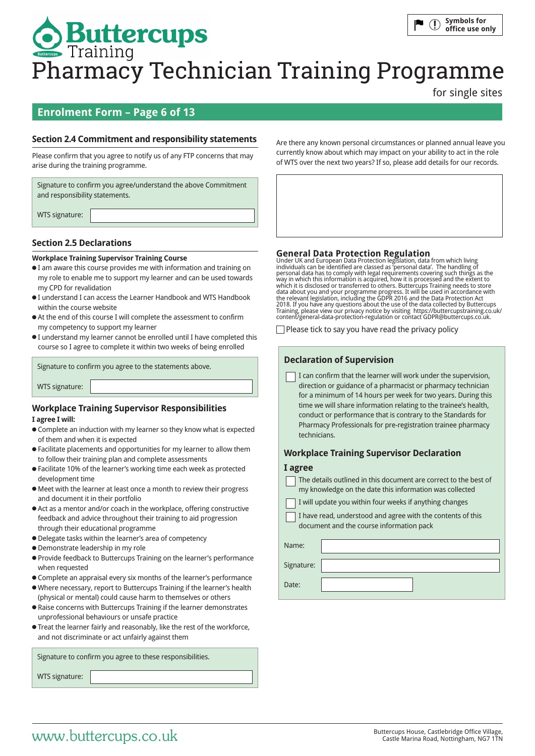for single sites

# **Enrolment Form – Page 6 of 13**

### **Section 2.4 Commitment and responsibility statements**

Please confirm that you agree to notify us of any FTP concerns that may arise during the training programme.

Signature to confirm you agree/understand the above Commitment and responsibility statements.

WTS signature:

### **Section 2.5 Declarations**

### **Workplace Training Supervisor Training Course**

- I am aware this course provides me with information and training on my role to enable me to support my learner and can be used towards my CPD for revalidation
- I understand I can access the Learner Handbook and WTS Handbook within the course website
- At the end of this course I will complete the assessment to confirm my competency to support my learner
- I understand my learner cannot be enrolled until I have completed this course so I agree to complete it within two weeks of being enrolled

Signature to confirm you agree to the statements above.

WTS signature:

## **Workplace Training Supervisor Responsibilities**

### **I agree I will:**

- Complete an induction with my learner so they know what is expected of them and when it is expected
- Facilitate placements and opportunities for my learner to allow them to follow their training plan and complete assessments
- Facilitate 10% of the learner's working time each week as protected development time
- Meet with the learner at least once a month to review their progress and document it in their portfolio
- Act as a mentor and/or coach in the workplace, offering constructive feedback and advice throughout their training to aid progression through their educational programme
- Delegate tasks within the learner's area of competency
- Demonstrate leadership in my role
- Provide feedback to Buttercups Training on the learner's performance when requested
- Complete an appraisal every six months of the learner's performance
- Where necessary, report to Buttercups Training if the learner's health (physical or mental) could cause harm to themselves or others
- Raise concerns with Buttercups Training if the learner demonstrates unprofessional behaviours or unsafe practice
- Treat the learner fairly and reasonably, like the rest of the workforce, and not discriminate or act unfairly against them

Signature to confirm you agree to these responsibilities.

WTS signature:

Are there any known personal circumstances or planned annual leave you currently know about which may impact on your ability to act in the role of WTS over the next two years? If so, please add details for our records.

**General Data Protection Regulation**<br>Under UK and European Data Protection legislation, data from which living<br>individuals can be identified are classed as 'personal data has to comply with legal requirements covering such which it is disclosed or transferred to others. Buttercups Training needs to store data about you and your programme progress. It will be used in accordance with the relevant legislation, including the GDPR 2016 and the Data Protection Act<br>2018. If you have any questions about the use of the data collected by Buttercups<br>Training, please view our privacy notice by visiting https://b

 $\Box$  Please tick to say you have read the privacy policy

### **Declaration of Supervision**

 I can confirm that the learner will work under the supervision, direction or guidance of a pharmacist or pharmacy technician for a minimum of 14 hours per week for two years. During this time we will share information relating to the trainee's health, conduct or performance that is contrary to the Standards for Pharmacy Professionals for pre-registration trainee pharmacy technicians.

### **Workplace Training Supervisor Declaration**

### **I agree**

| The details outlined in this document are correct to the best of |
|------------------------------------------------------------------|
| my knowledge on the date this information was collected          |
| I will update you within four weeks if anything changes          |
| I have read, understood and agree with the contents of this      |
| document and the course information pack                         |

|            | accentration and doctor much matter pack |
|------------|------------------------------------------|
| Name:      |                                          |
| Signature: |                                          |
| Date:      |                                          |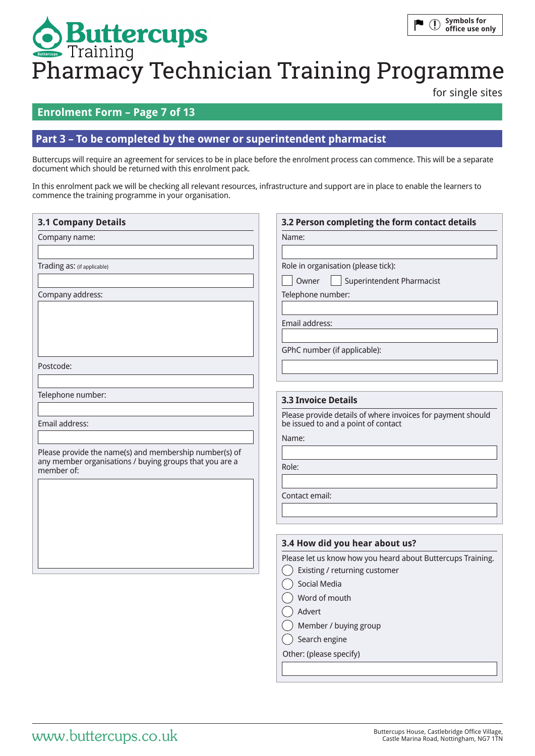# **Symbols for**   $\blacksquare$  (1) **Buttercups**<br>Pharmacy Technician Training Programme **office use only**

for single sites

# **Enrolment Form – Page 7 of 13**

### **Part 3 – To be completed by the owner or superintendent pharmacist**

Buttercups will require an agreement for services to be in place before the enrolment process can commence. This will be a separate document which should be returned with this enrolment pack.

In this enrolment pack we will be checking all relevant resources, infrastructure and support are in place to enable the learners to commence the training programme in your organisation.

| <b>3.1 Company Details</b>                                                                                                      | 3.2 Person completing the form contact details                                                                                                                                                                                                 |
|---------------------------------------------------------------------------------------------------------------------------------|------------------------------------------------------------------------------------------------------------------------------------------------------------------------------------------------------------------------------------------------|
| Company name:                                                                                                                   | Name:                                                                                                                                                                                                                                          |
| Trading as: (if applicable)                                                                                                     | Role in organisation (please tick):<br>Superintendent Pharmacist<br>Owner                                                                                                                                                                      |
| Company address:                                                                                                                | Telephone number:                                                                                                                                                                                                                              |
|                                                                                                                                 | Email address:                                                                                                                                                                                                                                 |
|                                                                                                                                 | GPhC number (if applicable):                                                                                                                                                                                                                   |
| Postcode:                                                                                                                       |                                                                                                                                                                                                                                                |
| Telephone number:                                                                                                               | <b>3.3 Invoice Details</b>                                                                                                                                                                                                                     |
| Email address:                                                                                                                  | Please provide details of where invoices for payment should<br>be issued to and a point of contact                                                                                                                                             |
| Please provide the name(s) and membership number(s) of<br>any member organisations / buying groups that you are a<br>member of: | Name:<br>Role:<br>Contact email:                                                                                                                                                                                                               |
|                                                                                                                                 | 3.4 How did you hear about us?<br>Please let us know how you heard about Buttercups Training.<br>Existing / returning customer<br>Social Media<br>Word of mouth<br>Advert<br>Member / buying group<br>Search engine<br>Other: (please specify) |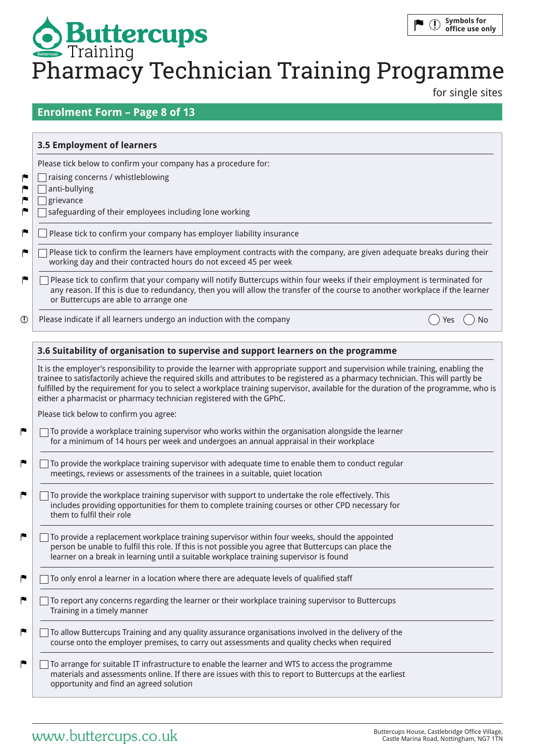for single sites

# **Enrolment Form – Page 8 of 13**

|             | 3.5 Employment of learners                                                                                                                                                                                                                                                                       |  |
|-------------|--------------------------------------------------------------------------------------------------------------------------------------------------------------------------------------------------------------------------------------------------------------------------------------------------|--|
|             | Please tick below to confirm your company has a procedure for:                                                                                                                                                                                                                                   |  |
| r           | raising concerns / whistleblowing                                                                                                                                                                                                                                                                |  |
| r           | anti-bullying                                                                                                                                                                                                                                                                                    |  |
| r           | grievance                                                                                                                                                                                                                                                                                        |  |
| r           | safeguarding of their employees including lone working                                                                                                                                                                                                                                           |  |
| r           | Please tick to confirm your company has employer liability insurance                                                                                                                                                                                                                             |  |
| r           | Please tick to confirm the learners have employment contracts with the company, are given adequate breaks during their<br>working day and their contracted hours do not exceed 45 per week                                                                                                       |  |
| r           | Please tick to confirm that your company will notify Buttercups within four weeks if their employment is terminated for<br>any reason. If this is due to redundancy, then you will allow the transfer of the course to another workplace if the learner<br>or Buttercups are able to arrange one |  |
| $\mathbb O$ | Please indicate if all learners undergo an induction with the company                                                                                                                                                                                                                            |  |

It is the employer's responsibility to provide the learner with appropriate support and supervision while training, enabling the trainee to satisfactorily achieve the required skills and attributes to be registered as a pharmacy technician. This will partly be fulfilled by the requirement for you to select a workplace training supervisor, available for the duration of the programme, who is either a pharmacist or pharmacy technician registered with the GPhC.

Please tick below to confirm you agree:

- $\Box$  To provide a workplace training supervisor who works within the organisation alongside the learner for a minimum of 14 hours per week and undergoes an annual appraisal in their workplace
- $\Box$  To provide the workplace training supervisor with adequate time to enable them to conduct regular meetings, reviews or assessments of the trainees in a suitable, quiet location
- □ To provide the workplace training supervisor with support to undertake the role effectively. This includes providing opportunities for them to complete training courses or other CPD necessary for them to fulfil their role
- $\Box$  To provide a replacement workplace training supervisor within four weeks, should the appointed person be unable to fulfil this role. If this is not possible you agree that Buttercups can place the learner on a break in learning until a suitable workplace training supervisor is found
- $\Box$  To only enrol a learner in a location where there are adequate levels of qualified staff
- $\Box$  To report any concerns regarding the learner or their workplace training supervisor to Buttercups Training in a timely manner
- To allow Buttercups Training and any quality assurance organisations involved in the delivery of the course onto the employer premises, to carry out assessments and quality checks when required
- $\Box$  To arrange for suitable IT infrastructure to enable the learner and WTS to access the programme materials and assessments online. If there are issues with this to report to Buttercups at the earliest opportunity and find an agreed solution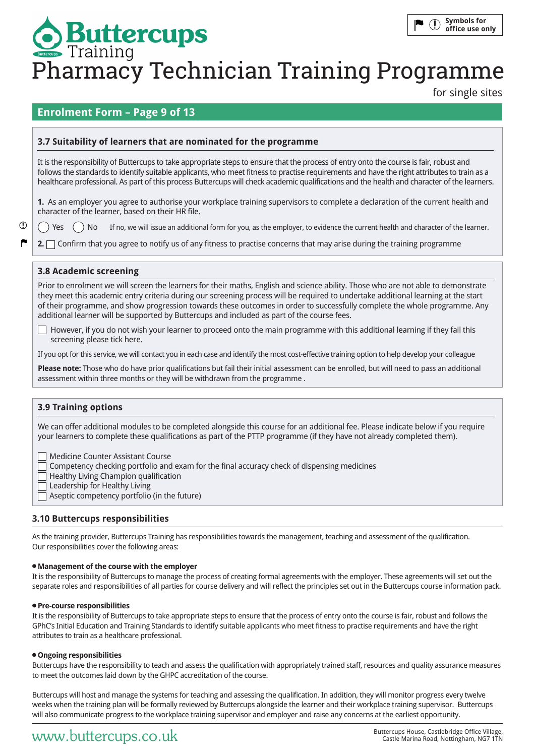for single sites

## **Enrolment Form – Page 9 of 13**

### **3.7 Suitability of learners that are nominated for the programme**

It is the responsibility of Buttercups to take appropriate steps to ensure that the process of entry onto the course is fair, robust and follows the standards to identify suitable applicants, who meet fitness to practise requirements and have the right attributes to train as a healthcare professional. As part of this process Buttercups will check academic qualifications and the health and character of the learners.

**1.** As an employer you agree to authorise your workplace training supervisors to complete a declaration of the current health and character of the learner, based on their HR file.

Yes  $()$  No If no, we will issue an additional form for you, as the employer, to evidence the current health and character of the learner.

**2.** Confirm that you agree to notify us of any fitness to practise concerns that may arise during the training programme

### **3.8 Academic screening**

 $\mathcal{D}$ 

Prior to enrolment we will screen the learners for their maths, English and science ability. Those who are not able to demonstrate they meet this academic entry criteria during our screening process will be required to undertake additional learning at the start of their programme, and show progression towards these outcomes in order to successfully complete the whole programme. Any additional learner will be supported by Buttercups and included as part of the course fees.

However, if you do not wish your learner to proceed onto the main programme with this additional learning if they fail this  $\Box$ screening please tick here.

If you opt for this service, we will contact you in each case and identify the most cost-effective training option to help develop your colleague

**Please note:** Those who do have prior qualifications but fail their initial assessment can be enrolled, but will need to pass an additional assessment within three months or they will be withdrawn from the programme .

### **3.9 Training options**

We can offer additional modules to be completed alongside this course for an additional fee. Please indicate below if you require your learners to complete these qualifications as part of the PTTP programme (if they have not already completed them).

Medicine Counter Assistant Course

Competency checking portfolio and exam for the final accuracy check of dispensing medicines

Healthy Living Champion qualification

Leadership for Healthy Living

Aseptic competency portfolio (in the future)

### **3.10 Buttercups responsibilities**

As the training provider, Buttercups Training has responsibilities towards the management, teaching and assessment of the qualification. Our responsibilities cover the following areas:

### **Management of the course with the employer**

It is the responsibility of Buttercups to manage the process of creating formal agreements with the employer. These agreements will set out the separate roles and responsibilities of all parties for course delivery and will reflect the principles set out in the Buttercups course information pack.

### **Pre-course responsibilities**

It is the responsibility of Buttercups to take appropriate steps to ensure that the process of entry onto the course is fair, robust and follows the GPhC's Initial Education and Training Standards to identify suitable applicants who meet fitness to practise requirements and have the right attributes to train as a healthcare professional.

### **Ongoing responsibilities**

Buttercups have the responsibility to teach and assess the qualification with appropriately trained staff, resources and quality assurance measures to meet the outcomes laid down by the GHPC accreditation of the course.

Buttercups will host and manage the systems for teaching and assessing the qualification. In addition, they will monitor progress every twelve weeks when the training plan will be formally reviewed by Buttercups alongside the learner and their workplace training supervisor. Buttercups will also communicate progress to the workplace training supervisor and employer and raise any concerns at the earliest opportunity.

# Buttercups House, Castlebridge Office Village, WWW.butterCUpS.co.uk Castle Marina Road, Nottingham, NG7 1TN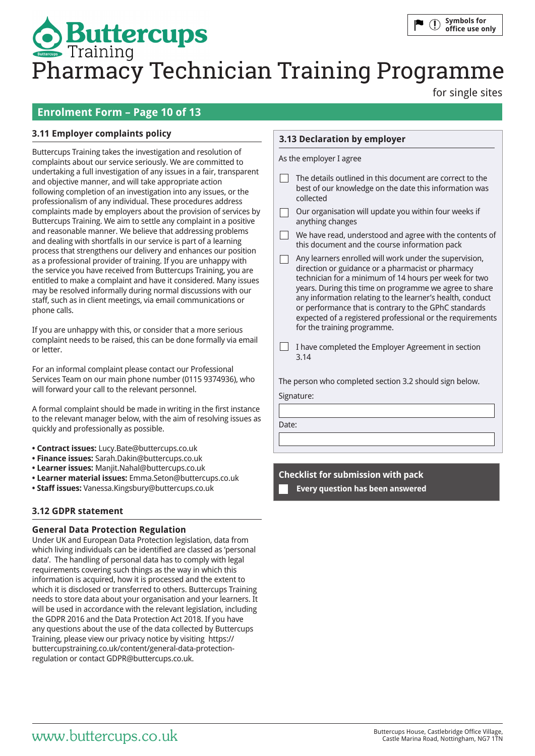for single sites

# **Enrolment Form – Page 10 of 13**

### **3.11 Employer complaints policy**

Buttercups Training takes the investigation and resolution of complaints about our service seriously. We are committed to undertaking a full investigation of any issues in a fair, transparent and objective manner, and will take appropriate action following completion of an investigation into any issues, or the professionalism of any individual. These procedures address complaints made by employers about the provision of services by Buttercups Training. We aim to settle any complaint in a positive and reasonable manner. We believe that addressing problems and dealing with shortfalls in our service is part of a learning process that strengthens our delivery and enhances our position as a professional provider of training. If you are unhappy with the service you have received from Buttercups Training, you are entitled to make a complaint and have it considered. Many issues may be resolved informally during normal discussions with our staff, such as in client meetings, via email communications or phone calls.

If you are unhappy with this, or consider that a more serious complaint needs to be raised, this can be done formally via email or letter.

For an informal complaint please contact our Professional Services Team on our main phone number (0115 9374936), who will forward your call to the relevant personnel.

A formal complaint should be made in writing in the first instance to the relevant manager below, with the aim of resolving issues as quickly and professionally as possible.

- **Contract issues:** Lucy.Bate@buttercups.co.uk
- **Finance issues:** Sarah.Dakin@buttercups.co.uk
- **Learner issues:** Manjit.Nahal@buttercups.co.uk
- **Learner material issues:** Emma.Seton@buttercups.co.uk
- **Staff issues:** Vanessa.Kingsbury@buttercups.co.uk

### **3.12 GDPR statement**

### **General Data Protection Regulation**

Under UK and European Data Protection legislation, data from which living individuals can be identified are classed as 'personal data'. The handling of personal data has to comply with legal requirements covering such things as the way in which this information is acquired, how it is processed and the extent to which it is disclosed or transferred to others. Buttercups Training needs to store data about your organisation and your learners. It will be used in accordance with the relevant legislation, including the GDPR 2016 and the Data Protection Act 2018. If you have any questions about the use of the data collected by Buttercups Training, please view our privacy notice by visiting https:// buttercupstraining.co.uk/content/general-data-protectionregulation or contact GDPR@buttercups.co.uk.

### **3.13 Declaration by employer**

As the employer I agree

- $\Box$  The details outlined in this document are correct to the best of our knowledge on the date this information was collected
- Our organisation will update you within four weeks if  $\Box$ anything changes
- $\Box$  We have read, understood and agree with the contents of this document and the course information pack
- $\Box$ Any learners enrolled will work under the supervision, direction or guidance or a pharmacist or pharmacy technician for a minimum of 14 hours per week for two years. During this time on programme we agree to share any information relating to the learner's health, conduct or performance that is contrary to the GPhC standards expected of a registered professional or the requirements for the training programme.
- $\Box$  I have completed the Employer Agreement in section 3.14

The person who completed section 3.2 should sign below.

Signature:

Date:

**Checklist for submission with pack**

**Every question has been answered**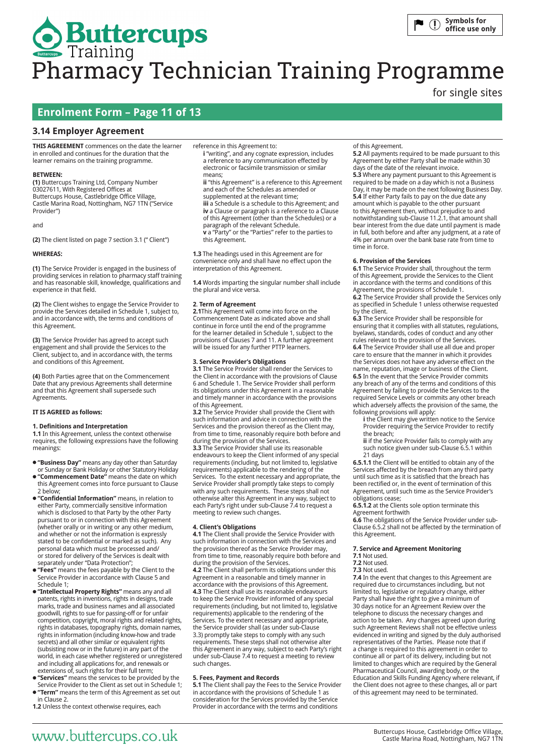for single sites

# **Enrolment Form – Page 11 of 13**

### **3.14 Employer Agreement**

**THIS AGREEMENT** commences on the date the learner in enrolled and continues for the duration that the learner remains on the training programme.

### **BETWEEN:**

**(1)** Buttercups Training Ltd, Company Number 03027611, With Registered Offices at Buttercups House, Castlebridge Office Village, Castle Marina Road, Nottingham, NG7 1TN ("Service Provider")

and

**(2)** The client listed on page 7 section 3.1 (" Client")

### **WHEREAS:**

**(1)** The Service Provider is engaged in the business of providing services in relation to pharmacy staff training and has reasonable skill, knowledge, qualifications and experience in that field.

**(2)** The Client wishes to engage the Service Provider to provide the Services detailed in Schedule 1, subject to, and in accordance with, the terms and conditions of this Agreement.

**(3)** The Service Provider has agreed to accept such engagement and shall provide the Services to the Client, subject to, and in accordance with, the terms and conditions of this Agreement.

**(4)** Both Parties agree that on the Commencement Date that any previous Agreements shall determine and that this Agreement shall supersede such Agreements.

### **IT IS AGREED as follows:**

### **1. Definitions and Interpretation**

**1.1** In this Agreement, unless the context otherwise requires, the following expressions have the following meanings:

**"Business Day"** means any day other than Saturday or Sunday or Bank Holiday or other Statutory Holiday

- **"Commencement Date"** means the date on which this Agreement comes into force pursuant to Clause 2 below;
- **"Confidential Information"** means, in relation to either Party, commercially sensitive information which is disclosed to that Party by the other Party pursuant to or in connection with this Agreement (whether orally or in writing or any other medium, and whether or not the information is expressly stated to be confidential or marked as such). Any personal data which must be processed and/ or stored for delivery of the Services is dealt with separately under "Data Protection"
- **"Fees"** means the fees payable by the Client to the Service Provider in accordance with Clause 5 and Schedule 1;
- **"Intellectual Property Rights"** means any and all patents, rights in inventions, rights in designs, trade marks, trade and business names and all associated goodwill, rights to sue for passing-off or for unfair competition, copyright, moral rights and related rights, rights in databases, topography rights, domain names, rights in information (including know-how and trade secrets) and all other similar or equivalent rights (subsisting now or in the future) in any part of the world, in each case whether registered or unregistered and including all applications for, and renewals or extensions of, such rights for their full term;
- **"Services"** means the services to be provided by the Service Provider to the Client as set out in Schedule 1;
- **"Term"** means the term of this Agreement as set out in Clause 2.
- **1.2** Unless the context otherwise requires, each

reference in this Agreement to:

**i** "writing", and any cognate expression, includes a reference to any communication effected by electronic or facsimile transmission or similar means;

**ii** "this Agreement" is a reference to this Agreement and each of the Schedules as amended or supplemented at the relevant time; **iii** a Schedule is a schedule to this Agreement; and **iv** a Clause or paragraph is a reference to a Clause of this Agreement (other than the Schedules) or a paragraph of the relevant Schedule. **v** a "Party" or the "Parties" refer to the parties to

**1.3** The headings used in this Agreement are for convenience only and shall have no effect upon the interpretation of this Agreement.

**1.4** Words imparting the singular number shall include the plural and vice versa.

### **2**. **Term of Agreement**

this Agreement.

**2.1**This Agreement will come into force on the Commencement Date as indicated above and shall continue in force until the end of the programme for the learner detailed in Schedule 1, subject to the provisions of Clauses 7 and 11. A further agreement will be issued for any further PTTP learners.

#### **3. Service Provider's Obligations**

**3.1** The Service Provider shall render the Services to the Client in accordance with the provisions of Clause 6 and Schedule 1. The Service Provider shall perform its obligations under this Agreement in a reasonable and timely manner in accordance with the provisions of this Agreement.

**3.2** The Service Provider shall provide the Client with such information and advice in connection with the Services and the provision thereof as the Client may, from time to time, reasonably require both before and during the provision of the Services.

**3.3** The Service Provider shall use its reasonable endeavours to keep the Client informed of any special requirements (including, but not limited to, legislative requirements) applicable to the rendering of the Services. To the extent necessary and appropriate, the Service Provider shall promptly take steps to comply with any such requirements. These steps shall not otherwise alter this Agreement in any way, subject to each Party's right under sub-Clause 7.4 to request a meeting to review such changes.

### **4. Client's Obligations**

**4.1** The Client shall provide the Service Provider with such information in connection with the Services and the provision thereof as the Service Provider may, from time to time, reasonably require both before and during the provision of the Services. **4.2** The Client shall perform its obligations under this Agreement in a reasonable and timely manner in accordance with the provisions of this Agreement. **4.3** The Client shall use its reasonable endeavours to keep the Service Provider informed of any special requirements (including, but not limited to, legislative requirements) applicable to the rendering of the Services. To the extent necessary and appropriate the Service provider shall (as under sub-Clause 3.3) promptly take steps to comply with any such requirements. These steps shall not otherwise alter this Agreement in any way, subject to each Party's right under sub-Clause 7.4 to request a meeting to review such changes.

### **5. Fees, Payment and Records**

**5.1** The Client shall pay the Fees to the Service Provider in accordance with the provisions of Schedule 1 as consideration for the Services provided by the Service Provider in accordance with the terms and conditions

of this Agreement.

**5.2** All payments required to be made pursuant to this Agreement by either Party shall be made within 30 days of the date of the relevant invoice. **5.3** Where any payment pursuant to this Agreement is required to be made on a day which is not a Business Day, it may be made on the next following Business Day. **5.4** If either Party fails to pay on the due date any amount which is payable to the other pursuant to this Agreement then, without prejudice to and notwithstanding sub-Clause 11.2.1, that amount shall bear interest from the due date until payment is made in full, both before and after any judgment, at a rate of 4% per annum over the bank base rate from time to time in force.

### **6. Provision of the Services**

**6.1** The Service Provider shall, throughout the term of this Agreement, provide the Services to the Client in accordance with the terms and conditions of this Agreement, the provisions of Schedule 1.

**6.2** The Service Provider shall provide the Services only as specified in Schedule 1 unless otherwise requested by the client.

**6.3** The Service Provider shall be responsible for ensuring that it complies with all statutes, regulations, byelaws, standards, codes of conduct and any other rules relevant to the provision of the Services.

**6.4** The Service Provider shall use all due and proper care to ensure that the manner in which it provides the Services does not have any adverse effect on the name, reputation, image or business of the Client. **6.5** In the event that the Service Provider commits any breach of any of the terms and conditions of this Agreement by failing to provide the Services to the required Service Levels or commits any other breach which adversely affects the provision of the same, the following provisions will apply:

- **i** the Client may give written notice to the Service Provider requiring the Service Provider to rectify the breach;
- **ii** if the Service Provider fails to comply with any such notice given under sub-Clause 6.5.1 within 21 days

**6.5.1.1** the Client will be entitled to obtain any of the Services affected by the breach from any third party until such time as it is satisfied that the breach has been rectified or, in the event of termination of this Agreement, until such time as the Service Provider's obligations cease;

**6.5.1.2** at the Clients sole option terminate this Agreement forthwith

**6.6** The obligations of the Service Provider under sub-Clause 6.5.2 shall not be affected by the termination of this Agreement.

### **7. Service and Agreement Monitoring**

**7.1** Not used. **7.2** Not used.

**7.3** Not used.

**7.4** In the event that changes to this Agreement are required due to circumstances including, but not limited to, legislative or regulatory change, either Party shall have the right to give a minimum of 30 days notice for an Agreement Review over the telephone to discuss the necessary changes and action to be taken. Any changes agreed upon during such Agreement Reviews shall not be effective unless evidenced in writing and signed by the duly authorised representatives of the Parties. Please note that if a change is required to this agreement in order to continue all or part of its delivery, including but not limited to changes which are required by the General Pharmaceutical Council, awarding body, or the Education and Skills Funding Agency where relevant, if the Client does not agree to these changes, all or part of this agreement may need to be terminated.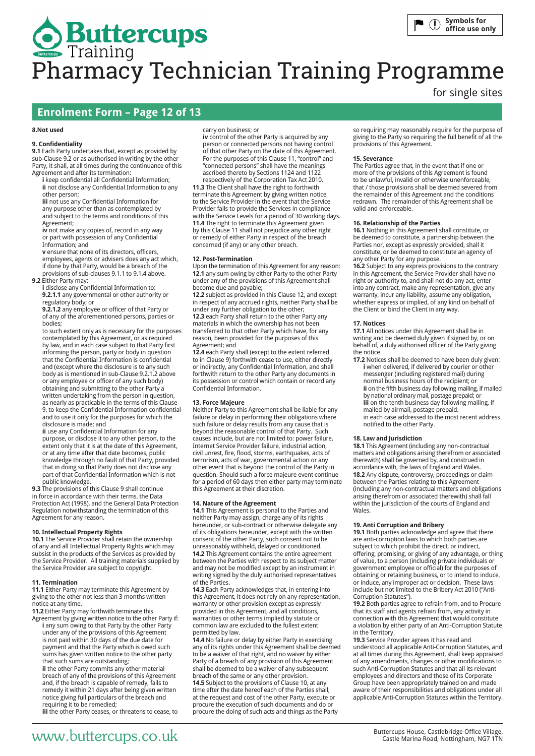### **Enrolment Form – Page 12 of 13**

#### **8.Not used**

### **9. Confidentiality**

**9.1** Each Party undertakes that, except as provided by sub-Clause 9.2 or as authorised in writing by the other Party, it shall, at all times during the continuance of this Agreement and after its termination:

**i** keep confidential all Confidential Information; **ii** not disclose any Confidential Information to any other person; **iii** not use any Confidential Information for

any purpose other than as contemplated by and subject to the terms and conditions of this Agreement;

**iv** not make any copies of, record in any way or part with possession of any Confidential Information; and

**v** ensure that none of its directors, officers, employees, agents or advisers does any act which, if done by that Party, would be a breach of the

provisions of sub-clauses 9.1.1 to 9.1.4 above. **9.2** Either Party may:

**i** disclose any Confidential Information to: **9.2.1.1** any governmental or other authority or regulatory body; or

**9.2.1.2** any employee or officer of that Party or of any of the aforementioned persons, parties or bodies;

to such extent only as is necessary for the purposes contemplated by this Agreement, or as required by law, and in each case subject to that Party first informing the person, party or body in question that the Confidential Information is confidential and (except where the disclosure is to any such body as is mentioned in sub-Clause 9.2.1.2 above or any employee or officer of any such body) obtaining and submitting to the other Party a written undertaking from the person in question, as nearly as practicable in the terms of this Clause 9, to keep the Confidential Information confidential and to use it only for the purposes for which the disclosure is made; and

**ii** use any Confidential Information for any purpose, or disclose it to any other person, to the extent only that it is at the date of this Agreement, or at any time after that date becomes, public knowledge through no fault of that Party, provided that in doing so that Party does not disclose any part of that Confidential Information which is not public knowledge.

**9.3** The provisions of this Clause 9 shall continue in force in accordance with their terms, the Data Protection Act (1998), and the General Data Protection Regulation notwithstanding the termination of this Agreement for any reason.

### **10. Intellectual Property Rights**

**10.1** The Service Provider shall retain the ownership of any and all Intellectual Property Rights which may subsist in the products of the Services as provided by the Service Provider. All training materials supplied by the Service Provider are subject to copyright.

### **11. Termination**

**11.1** Either Party may terminate this Agreement by giving to the other not less than 3 months written notice at any time.

**11.2** Either Party may forthwith terminate this

Agreement by giving written notice to the other Party if: **i** any sum owing to that Party by the other Party under any of the provisions of this Agreement is not paid within 30 days of the due date for payment and that the Party which is owed such sums has given written notice to the other party that such sums are outstanding;

**ii** the other Party commits any other material breach of any of the provisions of this Agreement and, if the breach is capable of remedy, fails to remedy it within 21 days after being given written notice giving full particulars of the breach and requiring it to be remedied;

**iii** the other Party ceases, or threatens to cease, to

### carry on business; or

**iv** control of the other Party is acquired by any person or connected persons not having control of that other Party on the date of this Agreement. For the purposes of this Clause 11, "control" and "connected persons" shall have the meanings ascribed thereto by Sections 1124 and 1122

respectively of the Corporation Tax Act 2010. **11.3** The Client shall have the right to forthwith terminate this Agreement by giving written notice to the Service Provider in the event that the Service Provider fails to provide the Services in compliance with the Service Levels for a period of 30 working days. **11.4** The right to terminate this Agreement given by this Clause 11 shall not prejudice any other right or remedy of either Party in respect of the breach concerned (if any) or any other breach.

### **12. Post-Termination**

Upon the termination of this Agreement for any reason: **12.1** any sum owing by either Party to the other Party under any of the provisions of this Agreement shall become due and payable;

**12.2** subject as provided in this Clause 12, and except in respect of any accrued rights, neither Party shall be under any further obligation to the other; **12.3** each Party shall return to the other Party any

materials in which the ownership has not been transferred to that other Party which have, for any reason, been provided for the purposes of this Agreement; and

**12.4** each Party shall (except to the extent referred to in Clause 9) forthwith cease to use, either directly or indirectly, any Confidential Information, and shall forthwith return to the other Party any documents in its possession or control which contain or record any Confidential Information.

### **13. Force Majeure**

Neither Party to this Agreement shall be liable for any failure or delay in performing their obligations where such failure or delay results from any cause that is beyond the reasonable control of that Party. Such causes include, but are not limited to: power failure, Internet Service Provider failure, industrial action, civil unrest, fire, flood, storms, earthquakes, acts of terrorism, acts of war, governmental action or any other event that is beyond the control of the Party in question. Should such a force majeure event continue for a period of 60 days then either party may terminate this Agreement at their discretion.

#### **14. Nature of the Agreement**

**14.1** This Agreement is personal to the Parties and neither Party may assign, charge any of its rights hereunder, or sub-contract or otherwise delegate any of its obligations hereunder, except with the written consent of the other Party, such consent not to be unreasonably withheld, delayed or conditioned. **14.2** This Agreement contains the entire agreement between the Parties with respect to its subject matter and may not be modified except by an instrument in writing signed by the duly authorised representatives of the Parties.

**14.3** Each Party acknowledges that, in entering into this Agreement, it does not rely on any representation, warranty or other provision except as expressly provided in this Agreement, and all conditions, warranties or other terms implied by statute or common law are excluded to the fullest extent permitted by law.

**14.4** No failure or delay by either Party in exercising any of its rights under this Agreement shall be deemed to be a waiver of that right, and no waiver by either Party of a breach of any provision of this Agreement shall be deemed to be a waiver of any subsequent breach of the same or any other provision. **14.5** Subject to the provisions of Clause 10, at any time after the date hereof each of the Parties shall, at the request and cost of the other Party, execute or procure the execution of such documents and do or procure the doing of such acts and things as the Party

for single sites

so requiring may reasonably require for the purpose of giving to the Party so requiring the full benefit of all the provisions of this Agreement.

#### **15. Severance**

The Parties agree that, in the event that if one or more of the provisions of this Agreement is found to be unlawful, invalid or otherwise unenforceable, that / those provisions shall be deemed severed from the remainder of this Agreement and the conditions redrawn. The remainder of this Agreement shall be valid and enforceable.

#### **16. Relationship of the Parties**

**16.1** Nothing in this Agreement shall constitute, or be deemed to constitute, a partnership between the Parties nor, except as expressly provided, shall it constitute, or be deemed to constitute an agency of any other Party for any purpose.

**16.2** Subject to any express provisions to the contrary in this Agreement, the Service Provider shall have no right or authority to, and shall not do any act, enter into any contract, make any representation, give any warranty, incur any liability, assume any obligation, whether express or implied, of any kind on behalf of the Client or bind the Client in any way.

#### **17. Notices**

**17.1** All notices under this Agreement shall be in writing and be deemed duly given if signed by, or on behalf of, a duly authorised officer of the Party giving the notice.

**17.2** Notices shall be deemed to have been duly given: **i** when delivered, if delivered by courier or other messenger (including registered mail) during normal business hours of the recipient; or **ii** on the fifth business day following mailing, if mailed by national ordinary mail, postage prepaid; or **iii** on the tenth business day following mailing, if mailed by airmail, postage prepaid. in each case addressed to the most recent address notified to the other Party.

### **18. Law and Jurisdiction**

**18.1** This Agreement (including any non-contractual matters and obligations arising therefrom or associated therewith) shall be governed by, and construed in accordance with, the laws of England and Wales. **18.2** Any dispute, controversy, proceedings or claim between the Parties relating to this Agreement (including any non-contractual matters and obligations arising therefrom or associated therewith) shall fall within the jurisdiction of the courts of England and Wales.

### **19. Anti Corruption and Bribery**

**19.1** Both parties acknowledge and agree that there are anti-corruption laws to which both parties are subject to which prohibit the direct, or indirect, offering, promising, or giving of any advantage, or thing of value, to a person (including private individuals or government employee or official) for the purposes of obtaining or retaining business, or to intend to induce, or induce, any improper act or decision. These laws include but not limited to the Bribery Act 2010 ("Anti-Corruption Statutes").

**19.2** Both parties agree to refrain from, and to Procure that its staff and agents refrain from, any activity in connection with this Agreement that would constitute a violation by either party of an Anti-Corruption Statute in the Territory.

**19.3** Service Provider agrees it has read and understood all applicable Anti-Corruption Statutes, and at all times during this Agreement, shall keep appraised of any amendments, changes or other modifications to such Anti-Corruption Statutes and that all its relevant employees and directors and those of its Corporate Group have been appropriately trained on and made aware of their responsibilities and obligations under all applicable Anti-Corruption Statutes within the Territory.